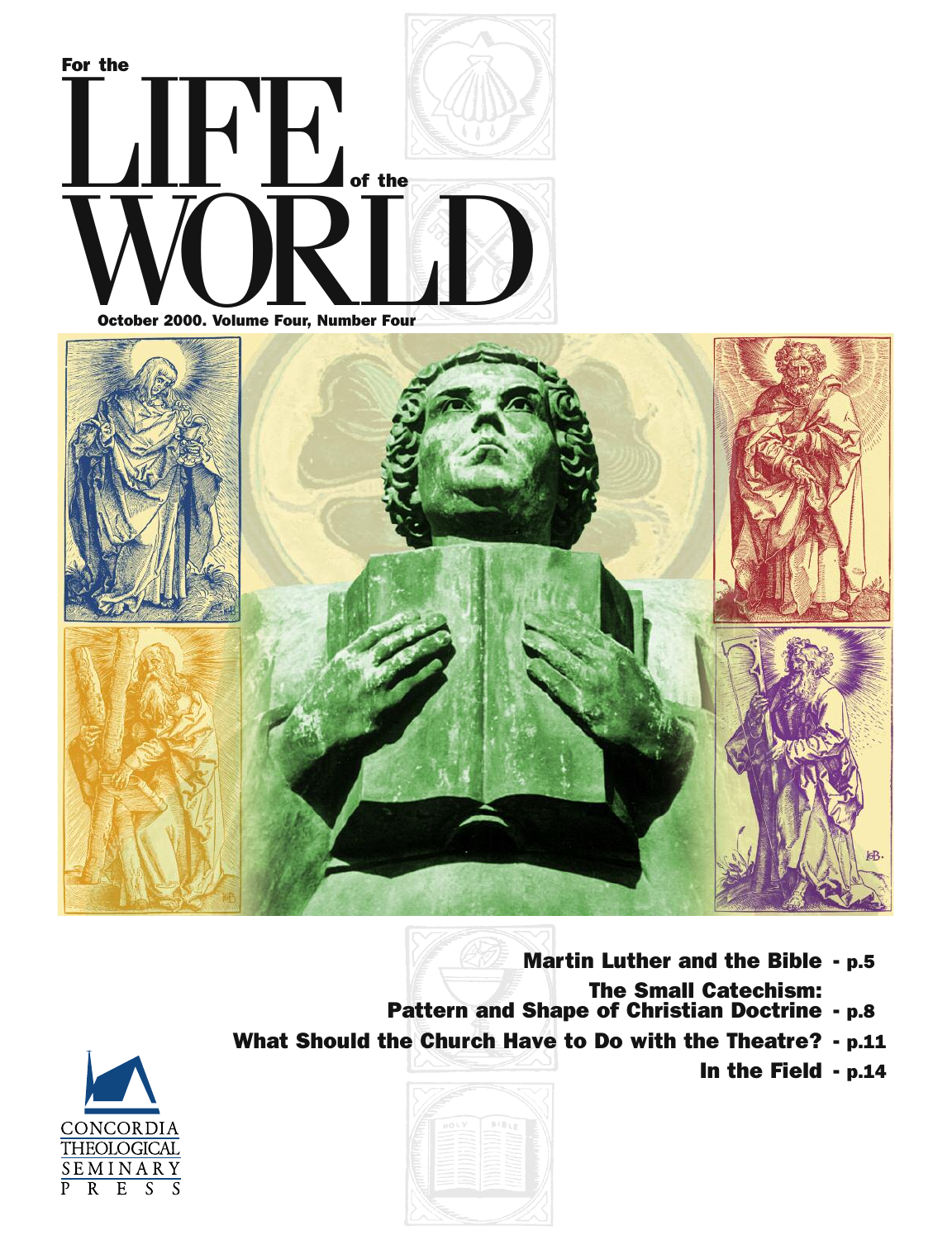



- **Martin Luther and the Bible - p.5 The Small Catechism: Pattern and Shape of Christian Doctrine - p.8**
- 
- **What Should the Church Have to Do with the Theatre? - p.11**





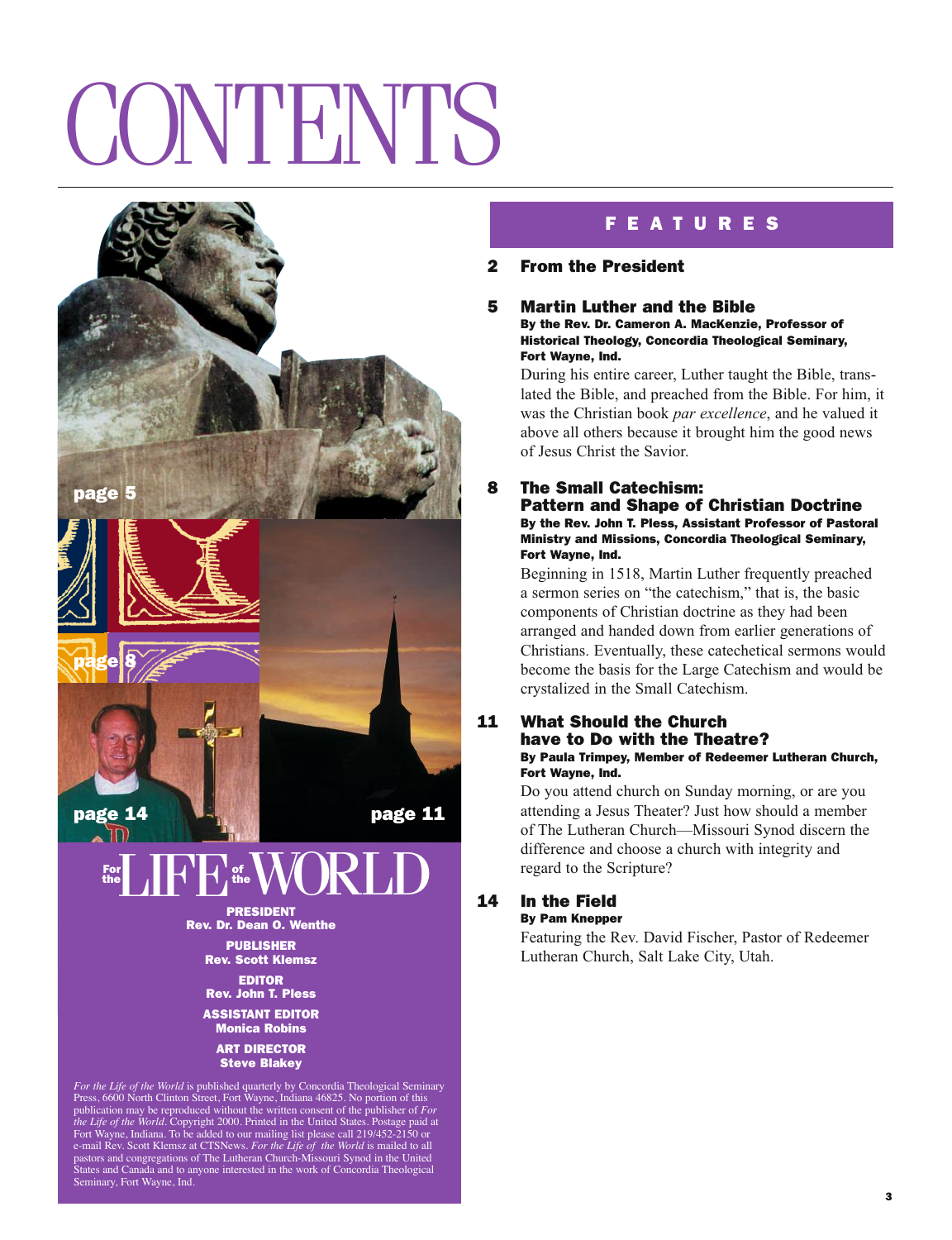# CONTENTS



**EDITOR Rev. John T. Pless ASSISTANT EDITOR Monica Robins**

**ART DIRECTOR Steve Blakey**

*For the Life of the World* is published quarterly by Concordia Theological Seminary Press, 6600 North Clinton Street, Fort Wayne, Indiana 46825. No portion of this publication may be reproduced without the written consent of the publisher of *For* the Life of the World. Copyright 2000. Printed in the United States. Postage paid at Fort Wayne, Indiana. To be added to our mailing list Seminary, Fort Wayne, Ind.

# **F E A T U R E S**

# **2 From the President**

### **5 Martin Luther and the Bible By the Rev. Dr. Cameron A. MacKenzie, Professor of Historical Theology, Concordia Theological Seminary, Fort Wayne, Ind.**

During his entire career, Luther taught the Bible, translated the Bible, and preached from the Bible. For him, it was the Christian book *par excellence*, and he valued it above all others because it brought him the good news of Jesus Christ the Savior.

# **8 The Small Catechism:**

**Pattern and Shape of Christian Doctrine By the Rev. John T. Pless, Assistant Professor of Pastoral Ministry and Missions, Concordia Theological Seminary, Fort Wayne, Ind.**

Beginning in 1518, Martin Luther frequently preached a sermon series on "the catechism," that is, the basic components of Christian doctrine as they had been arranged and handed down from earlier generations of Christians. Eventually, these catechetical sermons would become the basis for the Large Catechism and would be crystalized in the Small Catechism.

## **11 What Should the Church have to Do with the Theatre? By Paula Trimpey, Member of Redeemer Lutheran Church, Fort Wayne, Ind.**

Do you attend church on Sunday morning, or are you attending a Jesus Theater? Just how should a member of The Lutheran Church—Missouri Synod discern the difference and choose a church with integrity and regard to the Scripture?

### **14 In the Field By Pam Knepper**

Featuring the Rev. David Fischer, Pastor of Redeemer Lutheran Church, Salt Lake City, Utah.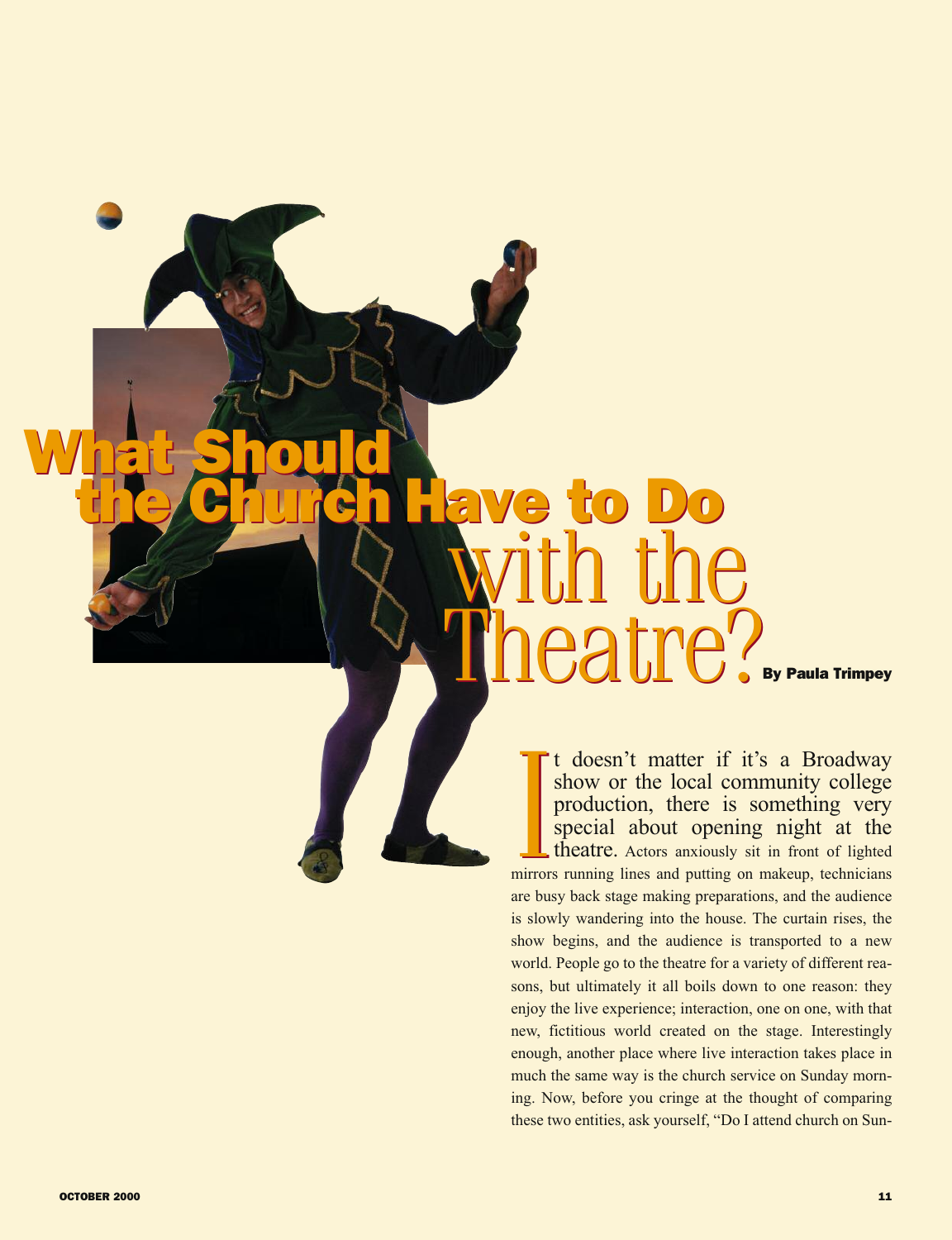# **By Paula Trimpey What Should the Church Have to Do** with the Theatre? **What Should the Church Have to Do** with the Theatre?

It doesn't matter if it's a Broadway<br>show or the local community college<br>production, there is something very<br>special about opening night at the<br>theatre. Actors anxiously sit in front of lighted<br>mirrors running lines and pu t t doesn't matter if it's a Broadway show or the local community college production, there is something very special about opening night at the theatre. Actors anxiously sit in front of lighted are busy back stage making preparations, and the audience is slowly wandering into the house. The curtain rises, the show begins, and the audience is transported to a new world. People go to the theatre for a variety of different reasons, but ultimately it all boils down to one reason: they enjoy the live experience; interaction, one on one, with that new, fictitious world created on the stage. Interestingly enough, another place where live interaction takes place in much the same way is the church service on Sunday morning. Now, before you cringe at the thought of comparing these two entities, ask yourself, "Do I attend church on Sun-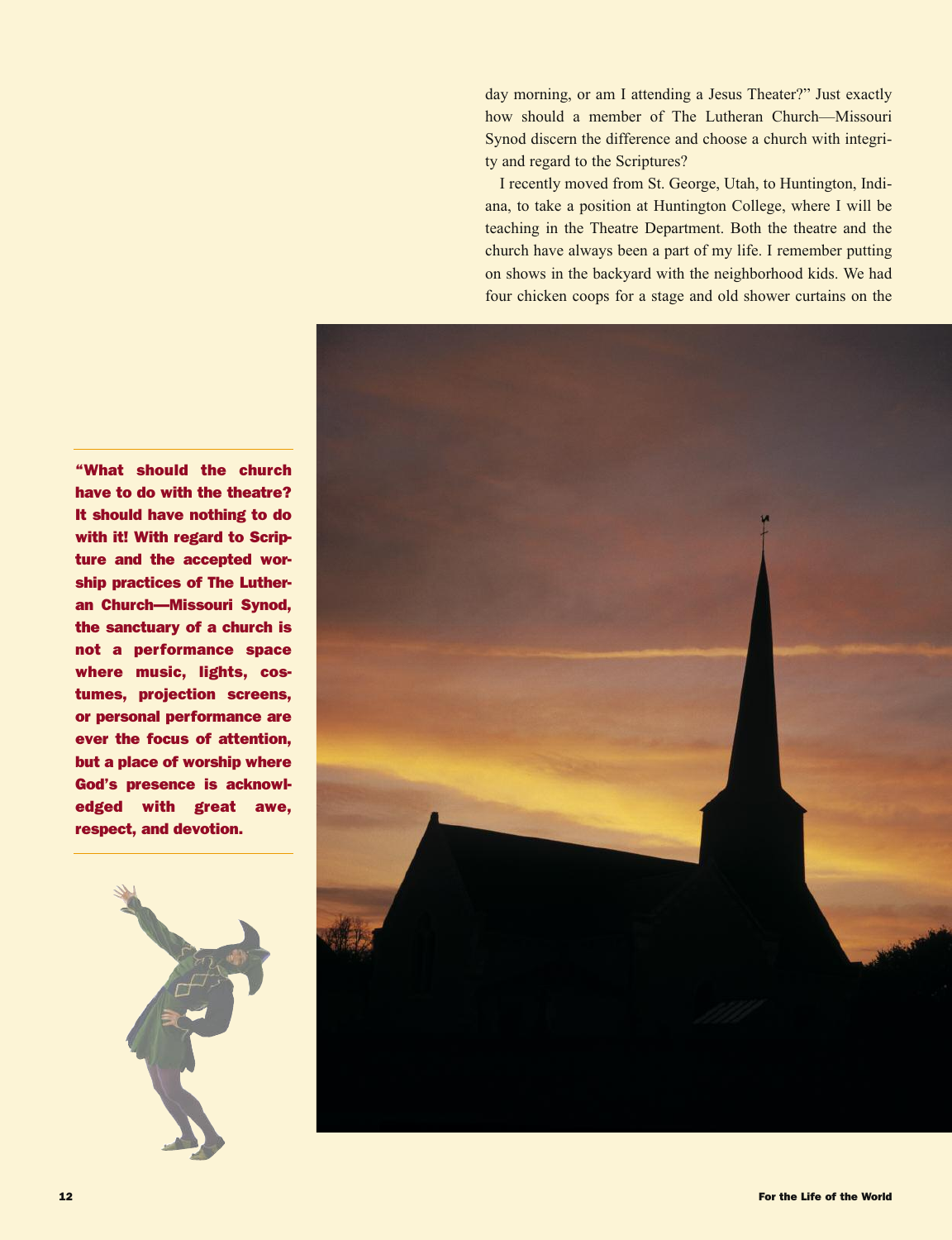day morning, or am I attending a Jesus Theater?" Just exactly how should a member of The Lutheran Church—Missouri Synod discern the difference and choose a church with integrity and regard to the Scriptures?

I recently moved from St. George, Utah, to Huntington, Indiana, to take a position at Huntington College, where I will be teaching in the Theatre Department. Both the theatre and the church have always been a part of my life. I remember putting on shows in the backyard with the neighborhood kids. We had four chicken coops for a stage and old shower curtains on the



**"What should the church have to do with the theatre? It should have nothing to do with it! With regard to Scripture and the accepted worship practices of The Lutheran Church—Missouri Synod, the sanctuary of a church is not a performance space where music, lights, costumes, projection screens, or personal performance are ever the focus of attention, but a place of worship where God's presence is acknowledged with great awe, respect, and devotion.**